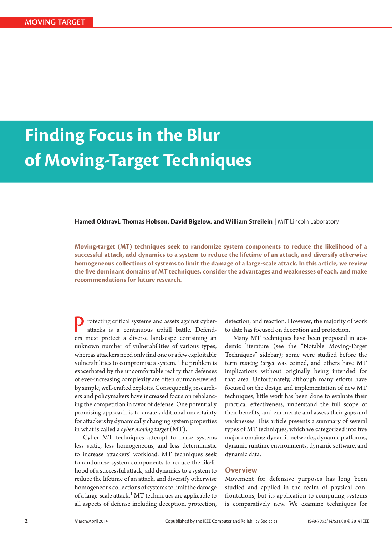# **Finding Focus in the Blur of Moving-Target Techniques**

**Hamed Okhravi, Thomas Hobson, David Bigelow, and William Streilein |** MIT Lincoln Laboratory

**Moving-target (MT) techniques seek to randomize system components to reduce the likelihood of a successful attack, add dynamics to a system to reduce the lifetime of an attack, and diversify otherwise homogeneous collections of systems to limit the damage of a large-scale attack. In this article, we review the five dominant domains of MT techniques, consider the advantages and weaknesses of each, and make recommendations for future research.**

rotecting critical systems and assets against cyberattacks is a continuous uphill battle. Defenders must protect a diverse landscape containing an unknown number of vulnerabilities of various types, whereas attackers need only find one or a few exploitable vulnerabilities to compromise a system. The problem is exacerbated by the uncomfortable reality that defenses of ever-increasing complexity are often outmaneuvered by simple, well-crafted exploits. Consequently, researchers and policymakers have increased focus on rebalancing the competition in favor of defense. One potentially promising approach is to create additional uncertainty for attackers by dynamically changing system properties in what is called a *cyber moving target* (MT).

Cyber MT techniques attempt to make systems less static, less homogeneous, and less deterministic to increase attackers' workload. MT techniques seek to randomize system components to reduce the likelihood of a successful attack, add dynamics to a system to reduce the lifetime of an attack, and diversify otherwise homogeneous collections of systems to limit the damage of a large-scale attack.<sup>1</sup> MT techniques are applicable to all aspects of defense including deception, protection,

detection, and reaction. However, the majority of work to date has focused on deception and protection.

Many MT techniques have been proposed in academic literature (see the "Notable Moving-Target Techniques" sidebar); some were studied before the term *moving target* was coined, and others have MT implications without originally being intended for that area. Unfortunately, although many efforts have focused on the design and implementation of new MT techniques, little work has been done to evaluate their practical effectiveness, understand the full scope of their benefits, and enumerate and assess their gaps and weaknesses. This article presents a summary of several types of MT techniques, which we categorized into five major domains: dynamic networks, dynamic platforms, dynamic runtime environments, dynamic software, and dynamic data.

#### **Overview**

Movement for defensive purposes has long been studied and applied in the realm of physical confrontations, but its application to computing systems is comparatively new. We examine techniques for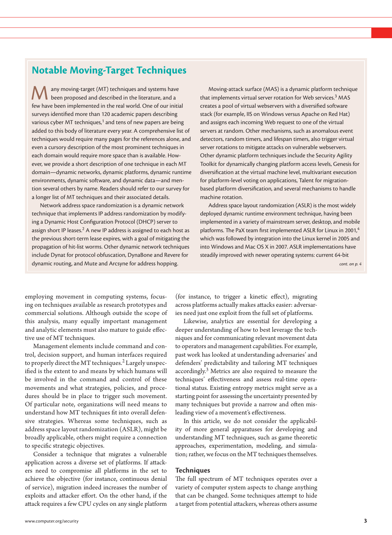# **Notable Moving-Target Techniques**

any moving-target (MT) techniques and systems have been proposed and described in the literature, and a few have been implemented in the real world. One of our initial surveys identified more than 120 academic papers describing various cyber MT techniques, $1$  and tens of new papers are being added to this body of literature every year. A comprehensive list of techniques would require many pages for the references alone, and even a cursory description of the most prominent techniques in each domain would require more space than is available. However, we provide a short description of one technique in each MT domain—dynamic networks, dynamic platforms, dynamic runtime environments, dynamic software, and dynamic data—and mention several others by name. Readers should refer to our survey for a longer list of MT techniques and their associated details.

Network address space randomization is a dynamic network technique that implements IP address randomization by modifying a Dynamic Host Configuration Protocol (DHCP) server to assign short IP leases.<sup>2</sup> A new IP address is assigned to each host as the previous short-term lease expires, with a goal of mitigating the propagation of hit-list worms. Other dynamic network techniques include Dynat for protocol obfuscation, DynaBone and Revere for dynamic routing, and Mute and Arcsyne for address hopping.

Moving-attack surface (MAS) is a dynamic platform technique that implements virtual server rotation for Web services.<sup>3</sup> MAS creates a pool of virtual webservers with a diversified software stack (for example, IIS on Windows versus Apache on Red Hat) and assigns each incoming Web request to one of the virtual servers at random. Other mechanisms, such as anomalous event detectors, random timers, and lifespan timers, also trigger virtual server rotations to mitigate attacks on vulnerable webservers. Other dynamic platform techniques include the Security Agility Toolkit for dynamically changing platform access levels, Genesis for diversification at the virtual machine level, multivariant execution for platform-level voting on applications, Talent for migrationbased platform diversification, and several mechanisms to handle machine rotation.

Address space layout randomization (ASLR) is the most widely deployed dynamic runtime environment technique, having been implemented in a variety of mainstream server, desktop, and mobile platforms. The PaX team first implemented ASLR for Linux in 2001,<sup>4</sup> which was followed by integration into the Linux kernel in 2005 and into Windows and Mac OS X in 2007. ASLR implementations have steadily improved with newer operating systems: current 64-bit

*cont. on p. 4*

employing movement in computing systems, focusing on techniques available as research prototypes and commercial solutions. Although outside the scope of this analysis, many equally important management and analytic elements must also mature to guide effective use of MT techniques.

Management elements include command and control, decision support, and human interfaces required to properly direct the MT techniques.<sup>2</sup> Largely unspecified is the extent to and means by which humans will be involved in the command and control of these movements and what strategies, policies, and procedures should be in place to trigger such movement. Of particular note, organizations will need means to understand how MT techniques fit into overall defensive strategies. Whereas some techniques, such as address space layout randomization (ASLR), might be broadly applicable, others might require a connection to specific strategic objectives.

Consider a technique that migrates a vulnerable application across a diverse set of platforms. If attackers need to compromise all platforms in the set to achieve the objective (for instance, continuous denial of service), migration indeed increases the number of exploits and attacker effort. On the other hand, if the attack requires a few CPU cycles on any single platform

(for instance, to trigger a kinetic effect), migrating across platforms actually makes attacks easier: adversaries need just one exploit from the full set of platforms.

Likewise, analytics are essential for developing a deeper understanding of how to best leverage the techniques and for communicating relevant movement data to operators and management capabilities. For example, past work has looked at understanding adversaries' and defenders' predictability and tailoring MT techniques accordingly.<sup>3</sup> Metrics are also required to measure the techniques' effectiveness and assess real-time operational status. Existing entropy metrics might serve as a starting point for assessing the uncertainty presented by many techniques but provide a narrow and often misleading view of a movement's effectiveness.

In this article, we do not consider the applicability of more general apparatuses for developing and understanding MT techniques, such as game theoretic approaches, experimentation, modeling, and simulation; rather, we focus on the MT techniques themselves.

#### **Techniques**

The full spectrum of MT techniques operates over a variety of computer system aspects to change anything that can be changed. Some techniques attempt to hide a target from potential attackers, whereas others assume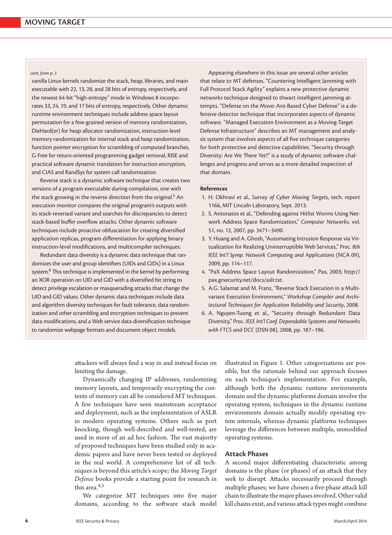#### *cont. from p. 3*

vanilla Linux kernels randomize the stack, heap, libraries, and main executable with 22, 13, 28, and 28 bits of entropy, respectively, and the newest 64-bit "high-entropy" mode in Windows 8 incorporates 33, 24, 19, and 17 bits of entropy, respectively. Other dynamic runtime environment techniques include address space layout permutation for a fine-grained version of memory randomization, DieHard(er) for heap allocator randomization, instruction-level memory randomization for internal stack and heap randomization, function pointer encryption for scrambling of computed branches, G-Free for return-oriented programming gadget removal, RISE and practical software dynamic translation for instruction encryption, and CIAS and RandSys for system call randomization.

Reverse stack is a dynamic software technique that creates two versions of a program executable during compilation, one with the stack growing in the reverse direction from the original.<sup>5</sup> An execution monitor compares the original program's outputs with its stack-reversed variant and searches for discrepancies to detect stack-based buffer overflow attacks. Other dynamic software techniques include proactive obfuscation for creating diversified application replicas, program differentiation for applying binary instruction-level modifications, and multicompiler techniques.

Redundant data diversity is a dynamic data technique that randomizes the user and group identifiers (UIDs and GIDs) in a Linux system.<sup>6</sup> This technique is implemented in the kernel by performing an XOR operation on UID and GID with a diversified bit string to detect privilege escalation or masquerading attacks that change the UID and GID values. Other dynamic data techniques include data and algorithm diversity techniques for fault tolerance, data randomization and other scrambling and encryption techniques to prevent data modifications, and a Web service data diversification technique to randomize webpage formats and document object models.

Appearing elsewhere in this issue are several other articles that relate to MT defenses. "Countering Intelligent Jamming with Full Protocol Stack Agility" explains a new protective dynamic networks technique designed to thwart intelligent jamming attempts. "Defense on the Move: Ant-Based Cyber Defense" is a defensive detector technique that incorporates aspects of dynamic software. "Managed Execution Environment as a Moving-Target Defense Infrastructure" describes an MT management and analysis system that involves aspects of all five technique categories for both protective and detective capabilities. "Security through Diversity: Are We There Yet?" is a study of dynamic software challenges and progress and serves as a more detailed inspection of that domain.

#### **References**

- 1. H. Okhravi et al., *Survey of Cyber Moving Targets*, tech. report 1166, MIT Lincoln Laboratory, Sept. 2013.
- 2. S. Antonatos et al., "Defending against Hitlist Worms Using Network Address Space Randomization," *Computer Networks*, vol. 51, no. 12, 2007, pp. 3471–3490.
- 3. Y. Huang and A. Ghosh, "Automating Intrusion Response via Virtualization for Realizing Uninterruptible Web Services," *Proc. 8th IEEE Int'l Symp. Network Computing and Applications* (NCA 09), 2009, pp. 114–117.
- 4. "PaX Address Space Layout Randomization," Pax, 2003; http:// pax.grsecurity.net/docs/aslr.txt.
- 5. A.G. Salamat and M. Franz, "Reverse Stack Execution in a Multivariant Execution Environment," *Workshop Compiler and Architectural Techniques for Application Reliability and Security*, 2008.
- 6. A. Nguyen-Tuong et al., "Security through Redundant Data Diversity," *Proc. IEEE Int'l Conf. Dependable Systems and Networks with FTCS and DCC* (DSN 08), 2008, pp. 187–196.

attackers will always find a way in and instead focus on limiting the damage.

Dynamically changing IP addresses, randomizing memory layouts, and temporarily encrypting the contents of memory can all be considered MT techniques. A few techniques have seen mainstream acceptance and deployment, such as the implementation of ASLR in modern operating systems. Others such as port knocking, though well-described and well-tested, are used in more of an ad hoc fashion. The vast majority of proposed techniques have been studied only in academic papers and have never been tested or deployed in the real world. A comprehensive list of all techniques is beyond this article's scope; the *Moving Target Defense* books provide a starting point for research in this area. $4,5$ 

We categorize MT techniques into five major domains, according to the software stack model

illustrated in Figure 1. Other categorizations are possible, but the rationale behind our approach focuses on each technique's implementation. For example, although both the dynamic runtime environments domain and the dynamic platforms domain involve the operating system, techniques in the dynamic runtime environments domain actually modify operating system internals, whereas dynamic platforms techniques leverage the differences between multiple, unmodified operating systems.

# **Attack Phases**

A second major differentiating characteristic among domains is the phase (or phases) of an attack that they seek to disrupt. Attacks necessarily proceed through multiple phases; we have chosen a five-phase attack kill chain to illustrate the major phases involved. Other valid kill chains exist, and various attack types might combine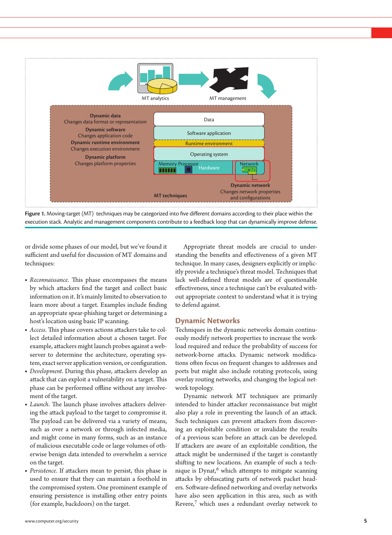

**Figure 1.** Moving-target (MT) techniques may be categorized into five different domains according to their place within the execution stack. Analytic and management components contribute to a feedback loop that can dynamically improve defense.

or divide some phases of our model, but we've found it sufficient and useful for discussion of MT domains and techniques:

- *Reconnaissance*. This phase encompasses the means by which attackers find the target and collect basic information on it. It's mainly limited to observation to learn more about a target. Examples include finding an appropriate spear-phishing target or determining a host's location using basic IP scanning.
- *Access*. This phase covers actions attackers take to collect detailed information about a chosen target. For example, attackers might launch probes against a webserver to determine the architecture, operating system, exact server application version, or configuration.
- *Development*. During this phase, attackers develop an attack that can exploit a vulnerability on a target. This phase can be performed offline without any involvement of the target.
- *Launch*. The launch phase involves attackers delivering the attack payload to the target to compromise it. The payload can be delivered via a variety of means, such as over a network or through infected media, and might come in many forms, such as an instance of malicious executable code or large volumes of otherwise benign data intended to overwhelm a service on the target.
- *Persistence*. If attackers mean to persist, this phase is used to ensure that they can maintain a foothold in the compromised system. One prominent example of ensuring persistence is installing other entry points (for example, backdoors) on the target.

Appropriate threat models are crucial to understanding the benefits and effectiveness of a given MT technique. In many cases, designers explicitly or implicitly provide a technique's threat model. Techniques that lack well-defined threat models are of questionable effectiveness, since a technique can't be evaluated without appropriate context to understand what it is trying to defend against.

# **Dynamic Networks**

Techniques in the dynamic networks domain continuously modify network properties to increase the workload required and reduce the probability of success for network-borne attacks. Dynamic network modifications often focus on frequent changes to addresses and ports but might also include rotating protocols, using overlay routing networks, and changing the logical network topology.

Dynamic network MT techniques are primarily intended to hinder attacker reconnaissance but might also play a role in preventing the launch of an attack. Such techniques can prevent attackers from discovering an exploitable condition or invalidate the results of a previous scan before an attack can be developed. If attackers are aware of an exploitable condition, the attack might be undermined if the target is constantly shifting to new locations. An example of such a technique is  $Dynat$ , which attempts to mitigate scanning attacks by obfuscating parts of network packet headers. Software-defined networking and overlay networks have also seen application in this area, such as with Revere, $7$  which uses a redundant overlay network to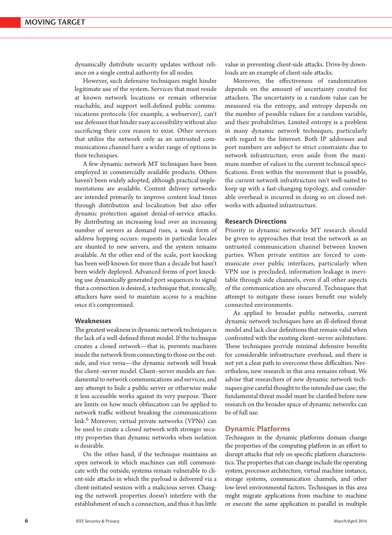dynamically distribute security updates without reliance on a single central authority for all nodes.

However, such defensive techniques might hinder legitimate use of the system. Services that must reside at known network locations or remain otherwise reachable, and support well-defined public communications protocols (for example, a webserver), can't use defenses that hinder easy accessibility without also sacrificing their core reason to exist. Other services that utilize the network only as an untrusted communications channel have a wider range of options in their techniques.

A few dynamic network MT techniques have been employed in commercially available products. Others haven't been widely adopted, although practical implementations are available. Content delivery networks are intended primarily to improve content load times through distribution and localization but also offer dynamic protection against denial-of-service attacks. By distributing an increasing load over an increasing number of servers as demand rises, a weak form of address hopping occurs: requests in particular locales are shunted to new servers, and the system remains available. At the other end of the scale, port knocking has been well-known for more than a decade but hasn't been widely deployed. Advanced forms of port knocking use dynamically generated port sequences to signal that a connection is desired, a technique that, ironically, attackers have used to maintain access to a machine once it's compromised.

#### **Weaknesses**

The greatest weakness in dynamic network techniques is the lack of a well-defined threat model. If the technique creates a closed network—that is, prevents machines inside the network from connecting to those on the outside, and vice versa—the dynamic network will break the client–server model. Client–server models are fundamental to network communications and services, and any attempt to hide a public server or otherwise make it less accessible works against its very purpose. There are limits on how much obfuscation can be applied to network traffic without breaking the communications link.<sup>6</sup> Moreover, virtual private networks (VPNs) can be used to create a closed network with stronger security properties than dynamic networks when isolation is desirable.

On the other hand, if the technique maintains an open network in which machines can still communicate with the outside, systems remain vulnerable to client-side attacks in which the payload is delivered via a client-initiated session with a malicious server. Changing the network properties doesn't interfere with the establishment of such a connection, and thus it has little value in preventing client-side attacks. Drive-by downloads are an example of client-side attacks.

Moreover, the effectiveness of randomization depends on the amount of uncertainty created for attackers. The uncertainty in a random value can be measured via the entropy, and entropy depends on the number of possible values for a random variable, and their probabilities. Limited entropy is a problem in many dynamic network techniques, particularly with regard to the Internet. Both IP addresses and port numbers are subject to strict constraints due to network infrastructure, even aside from the maximum number of values in the current technical specifications. Even within the movement that is possible, the current network infrastructure isn't well-suited to keep up with a fast-changing topology, and considerable overhead is incurred in doing so on closed networks with adjusted infrastructure.

#### **Research Directions**

Priority in dynamic networks MT research should be given to approaches that treat the network as an untrusted communication channel between known parties. When private entities are forced to communicate over public interfaces, particularly when VPN use is precluded, information leakage is inevitable through side channels, even if all other aspects of the communication are obscured. Techniques that attempt to mitigate these issues benefit our widely connected environments.

As applied to broader public networks, current dynamic network techniques have an ill-defined threat model and lack clear definitions that remain valid when confronted with the existing client–server architecture. These techniques provide minimal defensive benefits for considerable infrastructure overhead, and there is not yet a clear path to overcome these difficulties. Nevertheless, new research in this area remains robust. We advise that researchers of new dynamic network techniques give careful thought to the intended use case; the fundamental threat model must be clarified before new research on the broader space of dynamic networks can be of full use.

#### **Dynamic Platforms**

Techniques in the dynamic platforms domain change the properties of the computing platform in an effort to disrupt attacks that rely on specific platform characteristics. The properties that can change include the operating system, processor architecture, virtual machine instance, storage systems, communication channels, and other low-level environmental factors. Techniques in this area might migrate applications from machine to machine or execute the same application in parallel in multiple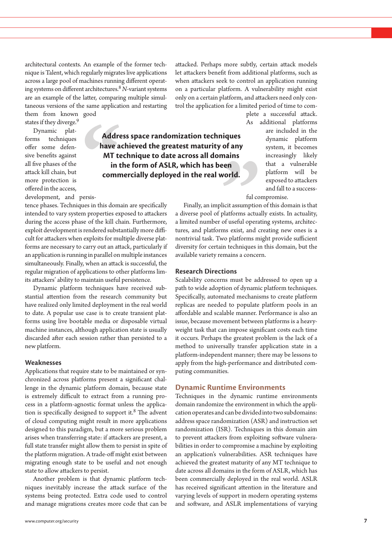architectural contexts. An example of the former technique is Talent, which regularly migrates live applications across a large pool of machines running different operating systems on different architectures.8 *N*-variant systems are an example of the latter, comparing multiple simultaneous versions of the same application and restarting

them from known good states if they diverge.<sup>9</sup>

Dynamic platforms techniques offer some defensive benefits against all five phases of the attack kill chain, but more protection is offered in the access,

development, and persis-

tence phases. Techniques in this domain are specifically intended to vary system properties exposed to attackers during the access phase of the kill chain. Furthermore, exploit development is rendered substantially more difficult for attackers when exploits for multiple diverse platforms are necessary to carry out an attack, particularly if an application is running in parallel on multiple instances simultaneously. Finally, when an attack is successful, the regular migration of applications to other platforms limits attackers' ability to maintain useful persistence.

Dynamic platform techniques have received substantial attention from the research community but have realized only limited deployment in the real world to date. A popular use case is to create transient platforms using live bootable media or disposable virtual machine instances, although application state is usually discarded after each session rather than persisted to a new platform.

# **Weaknesses**

Applications that require state to be maintained or synchronized across platforms present a significant challenge in the dynamic platform domain, because state is extremely difficult to extract from a running process in a platform-agnostic format unless the application is specifically designed to support it. $8$  The advent of cloud computing might result in more applications designed to this paradigm, but a more serious problem arises when transferring state: if attackers are present, a full state transfer might allow them to persist in spite of the platform migration. A trade-off might exist between migrating enough state to be useful and not enough state to allow attackers to persist.

Another problem is that dynamic platform techniques inevitably increase the attack surface of the systems being protected. Extra code used to control and manage migrations creates more code that can be

attacked. Perhaps more subtly, certain attack models let attackers benefit from additional platforms, such as when attackers seek to control an application running on a particular platform. A vulnerability might exist only on a certain platform, and attackers need only control the application for a limited period of time to com-

> plete a successful attack. As additional platforms

**Address space randomization techniques have achieved the greatest maturity of any MT technique to date across all domains in the form of ASLR, which has been commercially deployed in the real world.**

are included in the dynamic platform system, it becomes increasingly likely that a vulnerable platform will be exposed to attackers and fall to a success-

# ful compromise.

Finally, an implicit assumption of this domain is that a diverse pool of platforms actually exists. In actuality, a limited number of useful operating systems, architectures, and platforms exist, and creating new ones is a nontrivial task. Two platforms might provide sufficient diversity for certain techniques in this domain, but the available variety remains a concern.

# **Research Directions**

Scalability concerns must be addressed to open up a path to wide adoption of dynamic platform techniques. Specifically, automated mechanisms to create platform replicas are needed to populate platform pools in an affordable and scalable manner. Performance is also an issue, because movement between platforms is a heavyweight task that can impose significant costs each time it occurs. Perhaps the greatest problem is the lack of a method to universally transfer application state in a platform-independent manner; there may be lessons to apply from the high-performance and distributed computing communities.

#### **Dynamic Runtime Environments**

Techniques in the dynamic runtime environments domain randomize the environment in which the application operates and can be divided into two subdomains: address space randomization (ASR) and instruction set randomization (ISR). Techniques in this domain aim to prevent attackers from exploiting software vulnerabilities in order to compromise a machine by exploiting an application's vulnerabilities. ASR techniques have achieved the greatest maturity of any MT technique to date across all domains in the form of ASLR, which has been commercially deployed in the real world. ASLR has received significant attention in the literature and varying levels of support in modern operating systems and software, and ASLR implementations of varying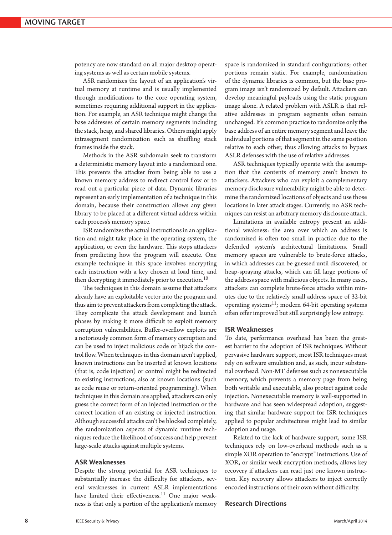potency are now standard on all major desktop operating systems as well as certain mobile systems.

ASR randomizes the layout of an application's virtual memory at runtime and is usually implemented through modifications to the core operating system, sometimes requiring additional support in the application. For example, an ASR technique might change the base addresses of certain memory segments including the stack, heap, and shared libraries. Others might apply intrasegment randomization such as shuffling stack frames inside the stack.

Methods in the ASR subdomain seek to transform a deterministic memory layout into a randomized one. This prevents the attacker from being able to use a known memory address to redirect control flow or to read out a particular piece of data. Dynamic libraries represent an early implementation of a technique in this domain, because their construction allows any given library to be placed at a different virtual address within each process's memory space.

ISR randomizes the actual instructions in an application and might take place in the operating system, the application, or even the hardware. This stops attackers from predicting how the program will execute. One example technique in this space involves encrypting each instruction with a key chosen at load time, and then decrypting it immediately prior to execution.<sup>10</sup>

The techniques in this domain assume that attackers already have an exploitable vector into the program and thus aim to prevent attackers from completing the attack. They complicate the attack development and launch phases by making it more difficult to exploit memory corruption vulnerabilities. Buffer-overflow exploits are a notoriously common form of memory corruption and can be used to inject malicious code or hijack the control flow. When techniques in this domain aren't applied, known instructions can be inserted at known locations (that is, code injection) or control might be redirected to existing instructions, also at known locations (such as code reuse or return-oriented programming). When techniques in this domain are applied, attackers can only guess the correct form of an injected instruction or the correct location of an existing or injected instruction. Although successful attacks can't be blocked completely, the randomization aspects of dynamic runtime techniques reduce the likelihood of success and help prevent large-scale attacks against multiple systems.

# **ASR Weaknesses**

Despite the strong potential for ASR techniques to substantially increase the difficulty for attackers, several weaknesses in current ASLR implementations have limited their effectiveness.<sup>11</sup> One major weakness is that only a portion of the application's memory space is randomized in standard configurations; other portions remain static. For example, randomization of the dynamic libraries is common, but the base program image isn't randomized by default. Attackers can develop meaningful payloads using the static program image alone. A related problem with ASLR is that relative addresses in program segments often remain unchanged. It's common practice to randomize only the base address of an entire memory segment and leave the individual portions of that segment in the same position relative to each other, thus allowing attacks to bypass ASLR defenses with the use of relative addresses.

ASR techniques typically operate with the assumption that the contents of memory aren't known to attackers. Attackers who can exploit a complementary memory disclosure vulnerability might be able to determine the randomized locations of objects and use those locations in later attack stages. Currently, no ASR techniques can resist an arbitrary memory disclosure attack.

Limitations in available entropy present an additional weakness: the area over which an address is randomized is often too small in practice due to the defended system's architectural limitations. Small memory spaces are vulnerable to brute-force attacks, in which addresses can be guessed until discovered, or heap-spraying attacks, which can fill large portions of the address space with malicious objects. In many cases, attackers can complete brute-force attacks within minutes due to the relatively small address space of 32-bit operating systems<sup>11</sup>; modern 64-bit operating systems often offer improved but still surprisingly low entropy.

#### **ISR Weaknesses**

To date, performance overhead has been the greatest barrier to the adoption of ISR techniques. Without pervasive hardware support, most ISR techniques must rely on software emulation and, as such, incur substantial overhead. Non-MT defenses such as nonexecutable memory, which prevents a memory page from being both writable and executable, also protect against code injection. Nonexecutable memory is well-supported in hardware and has seen widespread adoption, suggesting that similar hardware support for ISR techniques applied to popular architectures might lead to similar adoption and usage.

Related to the lack of hardware support, some ISR techniques rely on low-overhead methods such as a simple XOR operation to "encrypt" instructions. Use of XOR, or similar weak encryption methods, allows key recovery if attackers can read just one known instruction. Key recovery allows attackers to inject correctly encoded instructions of their own without difficulty.

# **Research Directions**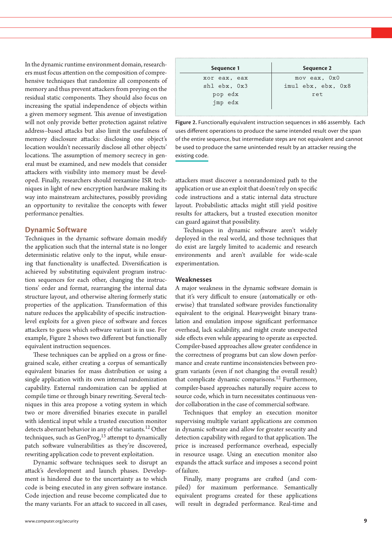In the dynamic runtime environment domain, researchers must focus attention on the composition of comprehensive techniques that randomize all components of memory and thus prevent attackers from preying on the residual static components. They should also focus on increasing the spatial independence of objects within a given memory segment. This avenue of investigation will not only provide better protection against relative address–based attacks but also limit the usefulness of memory disclosure attacks: disclosing one object's location wouldn't necessarily disclose all other objects' locations. The assumption of memory secrecy in general must be examined, and new models that consider attackers with visibility into memory must be developed. Finally, researchers should reexamine ISR techniques in light of new encryption hardware making its way into mainstream architectures, possibly providing an opportunity to revitalize the concepts with fewer performance penalties.

# **Dynamic Software**

Techniques in the dynamic software domain modify the application such that the internal state is no longer deterministic relative only to the input, while ensuring that functionality is unaffected. Diversification is achieved by substituting equivalent program instruction sequences for each other, changing the instructions' order and format, rearranging the internal data structure layout, and otherwise altering formerly static properties of the application. Transformation of this nature reduces the applicability of specific instructionlevel exploits for a given piece of software and forces attackers to guess which software variant is in use. For example, Figure 2 shows two different but functionally equivalent instruction sequences.

These techniques can be applied on a gross or finegrained scale, either creating a corpus of semantically equivalent binaries for mass distribution or using a single application with its own internal randomization capability. External randomization can be applied at compile time or through binary rewriting. Several techniques in this area propose a voting system in which two or more diversified binaries execute in parallel with identical input while a trusted execution monitor detects aberrant behavior in any of the variants.<sup>12</sup> Other techniques, such as  $GenProg<sub>13</sub>$  attempt to dynamically patch software vulnerabilities as they're discovered, rewriting application code to prevent exploitation.

Dynamic software techniques seek to disrupt an attack's development and launch phases. Development is hindered due to the uncertainty as to which code is being executed in any given software instance. Code injection and reuse become complicated due to the many variants. For an attack to succeed in all cases,

| Sequence 1         | Sequence 2         |  |  |  |
|--------------------|--------------------|--|--|--|
| xor eax, eax       | mov eax. 0x0       |  |  |  |
| shl ebx. 0x3       | imul ebx, ebx, 0x8 |  |  |  |
| pop edx<br>jmp edx | ret                |  |  |  |

Figure 2. Functionally equivalent instruction sequences in x86 assembly. Each uses different operations to produce the same intended result over the span of the entire sequence, but intermediate steps are not equivalent and cannot be used to produce the same unintended result by an attacker reusing the existing code.

attackers must discover a nonrandomized path to the application or use an exploit that doesn't rely on specific code instructions and a static internal data structure layout. Probabilistic attacks might still yield positive results for attackers, but a trusted execution monitor can guard against that possibility.

Techniques in dynamic software aren't widely deployed in the real world, and those techniques that do exist are largely limited to academic and research environments and aren't available for wide-scale experimentation.

# **Weaknesses**

A major weakness in the dynamic software domain is that it's very difficult to ensure (automatically or otherwise) that translated software provides functionality equivalent to the original. Heavyweight binary translation and emulation impose significant performance overhead, lack scalability, and might create unexpected side effects even while appearing to operate as expected. Compiler-based approaches allow greater confidence in the correctness of programs but can slow down performance and create runtime inconsistencies between program variants (even if not changing the overall result) that complicate dynamic comparisons.12 Furthermore, compiler-based approaches naturally require access to source code, which in turn necessitates continuous vendor collaboration in the case of commercial software.

Techniques that employ an execution monitor supervising multiple variant applications are common in dynamic software and allow for greater security and detection capability with regard to that application. The price is increased performance overhead, especially in resource usage. Using an execution monitor also expands the attack surface and imposes a second point of failure.

Finally, many programs are crafted (and compiled) for maximum performance. Semantically equivalent programs created for these applications will result in degraded performance. Real-time and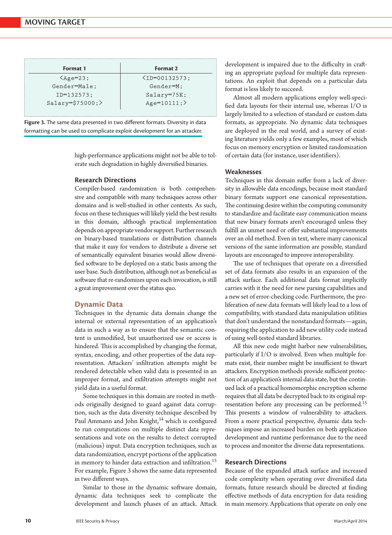| Format 1            | Format 2             |  |  |
|---------------------|----------------------|--|--|
| $\zeta$ Age=23;     | $\zeta$ ID=00132573: |  |  |
| Gender=Male;        | Gender=M:            |  |  |
| $ID = 132573:$      | $Salary=75K;$        |  |  |
| $Salary=$ \$75000;> | $Age=10111$ :        |  |  |

**Figure 3.** The same data presented in two different formats. Diversity in data formatting can be used to complicate exploit development for an attacker.

> high-performance applications might not be able to tolerate such degradation in highly diversified binaries.

# **Research Directions**

Compiler-based randomization is both comprehensive and compatible with many techniques across other domains and is well-studied in other contexts. As such, focus on these techniques will likely yield the best results in this domain, although practical implementation depends on appropriate vendor support. Further research on binary-based translations or distribution channels that make it easy for vendors to distribute a diverse set of semantically equivalent binaries would allow diversified software to be deployed on a static basis among the user base. Such distribution, although not as beneficial as software that re-randomizes upon each invocation, is still a great improvement over the status quo.

# **Dynamic Data**

Techniques in the dynamic data domain change the internal or external representation of an application's data in such a way as to ensure that the semantic content is unmodified, but unauthorized use or access is hindered. This is accomplished by changing the format, syntax, encoding, and other properties of the data representation. Attackers' infiltration attempts might be rendered detectable when valid data is presented in an improper format, and exfiltration attempts might not yield data in a useful format.

Some techniques in this domain are rooted in methods originally designed to guard against data corruption, such as the data diversity technique described by Paul Ammann and John Knight,<sup>14</sup> which is configured to run computations on multiple distinct data representations and vote on the results to detect corrupted (malicious) input. Data encryption techniques, such as data randomization, encrypt portions of the application in memory to hinder data extraction and infiltration.<sup>15</sup> For example, Figure 3 shows the same data represented in two different ways.

Similar to those in the dynamic software domain, dynamic data techniques seek to complicate the development and launch phases of an attack. Attack development is impaired due to the difficulty in crafting an appropriate payload for multiple data representations. An exploit that depends on a particular data format is less likely to succeed.

Almost all modern applications employ well-specified data layouts for their internal use, whereas I/O is largely limited to a selection of standard or custom data formats, as appropriate. No dynamic data techniques are deployed in the real world, and a survey of existing literature yields only a few examples, most of which focus on memory encryption or limited randomization of certain data (for instance, user identifiers).

# **Weaknesses**

Techniques in this domain suffer from a lack of diversity in allowable data encodings, because most standard binary formats support one canonical representation. The continuing desire within the computing community to standardize and facilitate easy communication means that new binary formats aren't encouraged unless they fulfill an unmet need or offer substantial improvements over an old method. Even in text, where many canonical versions of the same information are possible, standard layouts are encouraged to improve interoperability.

The use of techniques that operate on a diversified set of data formats also results in an expansion of the attack surface. Each additional data format implicitly carries with it the need for new parsing capabilities and a new set of error-checking code. Furthermore, the proliferation of new data formats will likely lead to a loss of compatibility, with standard data manipulation utilities that don't understand the nonstandard formats—again, requiring the application to add new utility code instead of using well-tested standard libraries.

All this new code might harbor new vulnerabilities, particularly if I/O is involved. Even when multiple formats exist, their number might be insufficient to thwart attackers. Encryption methods provide sufficient protection of an application's internal data state, but the continued lack of a practical homomorphic encryption scheme requires that all data be decrypted back to its original representation before any processing can be performed.<sup>15</sup> This presents a window of vulnerability to attackers. From a more practical perspective, dynamic data techniques impose an increased burden on both application development and runtime performance due to the need to process and monitor the diverse data representations.

# **Research Directions**

Because of the expanded attack surface and increased code complexity when operating over diversified data formats, future research should be directed at finding effective methods of data encryption for data residing in main memory. Applications that operate on only one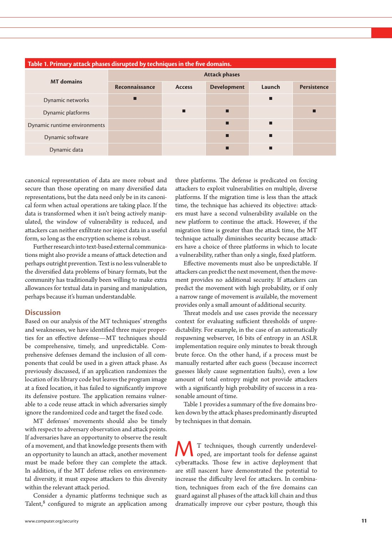| Table 1. Primary attack phases disrupted by techniques in the five domains. |                      |               |                    |        |                    |  |  |
|-----------------------------------------------------------------------------|----------------------|---------------|--------------------|--------|--------------------|--|--|
| <b>MT</b> domains                                                           | <b>Attack phases</b> |               |                    |        |                    |  |  |
|                                                                             | Reconnaissance       | <b>Access</b> | <b>Development</b> | Launch | <b>Persistence</b> |  |  |
| Dynamic networks                                                            | г                    |               |                    |        |                    |  |  |
| Dynamic platforms                                                           |                      | п             | п                  |        |                    |  |  |
| Dynamic runtime environments                                                |                      |               | п                  | п      |                    |  |  |
| Dynamic software                                                            |                      |               | п                  | п      |                    |  |  |
| Dynamic data                                                                |                      |               |                    |        |                    |  |  |

canonical representation of data are more robust and secure than those operating on many diversified data representations, but the data need only be in its canonical form when actual operations are taking place. If the data is transformed when it isn't being actively manipulated, the window of vulnerability is reduced, and attackers can neither exfiltrate nor inject data in a useful form, so long as the encryption scheme is robust.

Further research into text-based external communications might also provide a means of attack detection and perhaps outright prevention. Text is no less vulnerable to the diversified data problems of binary formats, but the community has traditionally been willing to make extra allowances for textual data in parsing and manipulation, perhaps because it's human understandable.

# **Discussion**

Based on our analysis of the MT techniques' strengths and weaknesses, we have identified three major properties for an effective defense—MT techniques should be comprehensive, timely, and unpredictable. Comprehensive defenses demand the inclusion of all components that could be used in a given attack phase. As previously discussed, if an application randomizes the location of its library code but leaves the program image at a fixed location, it has failed to significantly improve its defensive posture. The application remains vulnerable to a code reuse attack in which adversaries simply ignore the randomized code and target the fixed code.

MT defenses' movements should also be timely with respect to adversary observation and attack points. If adversaries have an opportunity to observe the result of a movement, and that knowledge presents them with an opportunity to launch an attack, another movement must be made before they can complete the attack. In addition, if the MT defense relies on environmental diversity, it must expose attackers to this diversity within the relevant attack period.

Consider a dynamic platforms technique such as Talent, ${}^{8}$  configured to migrate an application among three platforms. The defense is predicated on forcing attackers to exploit vulnerabilities on multiple, diverse platforms. If the migration time is less than the attack time, the technique has achieved its objective: attackers must have a second vulnerability available on the new platform to continue the attack. However, if the migration time is greater than the attack time, the MT technique actually diminishes security because attackers have a choice of three platforms in which to locate a vulnerability, rather than only a single, fixed platform.

Effective movements must also be unpredictable. If attackers can predict the next movement, then the movement provides no additional security. If attackers can predict the movement with high probability, or if only a narrow range of movement is available, the movement provides only a small amount of additional security.

Threat models and use cases provide the necessary context for evaluating sufficient thresholds of unpredictability. For example, in the case of an automatically respawning webserver, 16 bits of entropy in an ASLR implementation require only minutes to break through brute force. On the other hand, if a process must be manually restarted after each guess (because incorrect guesses likely cause segmentation faults), even a low amount of total entropy might not provide attackers with a significantly high probability of success in a reasonable amount of time.

Table 1 provides a summary of the five domains broken down by the attack phases predominantly disrupted by techniques in that domain.

T techniques, though currently underdeveloped, are important tools for defense against cyberattacks. Those few in active deployment that are still nascent have demonstrated the potential to increase the difficulty level for attackers. In combination, techniques from each of the five domains can guard against all phases of the attack kill chain and thus dramatically improve our cyber posture, though this